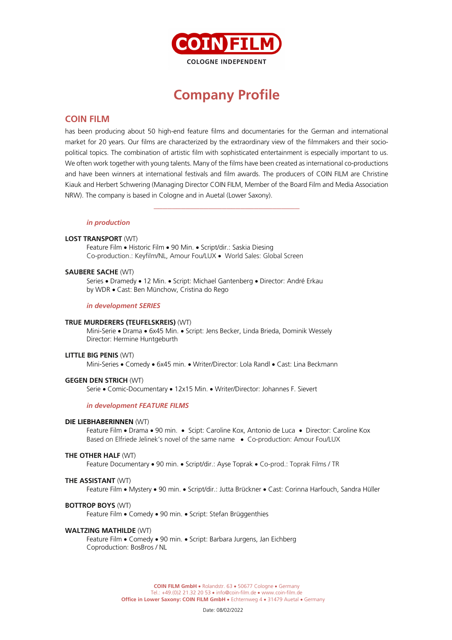

# **Company Profile**

# **COIN FILM**

has been producing about 50 high-end feature films and documentaries for the German and international market for 20 years. Our films are characterized by the extraordinary view of the filmmakers and their sociopolitical topics. The combination of artistic film with sophisticated entertainment is especially important to us. We often work together with young talents. Many of the films have been created as international co-productions and have been winners at international festivals and film awards. The producers of COIN FILM are Christine Kiauk and Herbert Schwering (Managing Director COIN FILM, Member of the Board Film and Media Association NRW). The company is based in Cologne and in Auetal (Lower Saxony).

\_\_\_\_\_\_\_\_\_\_\_\_\_\_\_\_\_\_\_\_\_\_\_\_\_\_\_\_\_\_\_\_

#### *in production*

#### **LOST TRANSPORT** (WT)

Feature Film • Historic Film • 90 Min. • Script/dir.: Saskia Diesing Co-production.: Keyfilm/NL, Amour Fou/LUX • World Sales: Global Screen

#### **SAUBERE SACHE** (WT)

Series • Dramedy • 12 Min. • Script: Michael Gantenberg • Director: André Erkau by WDR • Cast: Ben Münchow, Cristina do Rego

#### *in development SERIES*

#### **TRUE MURDERERS (TEUFELSKREIS)** (WT)

Mini-Serie • Drama • 6x45 Min. • Script: Jens Becker, Linda Brieda, Dominik Wessely Director: Hermine Huntgeburth

#### **LITTLE BIG PENIS** (WT)

Mini-Series • Comedy • 6x45 min. • Writer/Director: Lola Randl • Cast: Lina Beckmann

#### **GEGEN DEN STRICH** (WT)

Serie • Comic-Documentary • 12x15 Min. • Writer/Director: Johannes F. Sievert

#### *in development FEATURE FILMS*

#### **DIE LIEBHABERINNEN** (WT)

Feature Film • Drama • 90 min. • Scipt: Caroline Kox, Antonio de Luca • Director: Caroline Kox Based on Elfriede Jelinek's novel of the same name • Co-production: Amour Fou/LUX

#### **THE OTHER HALF** (WT)

Feature Documentary • 90 min. • Script/dir.: Ayse Toprak • Co-prod.: Toprak Films / TR

#### **THE ASSISTANT** (WT)

Feature Film • Mystery • 90 min. • Script/dir.: Jutta Brückner • Cast: Corinna Harfouch, Sandra Hüller

#### **BOTTROP BOYS** (WT)

Feature Film • Comedy • 90 min. • Script: Stefan Brüggenthies

#### **WALTZING MATHILDE** (WT)

Feature Film • Comedy • 90 min. • Script: Barbara Jurgens, Jan Eichberg Coproduction: BosBros / NL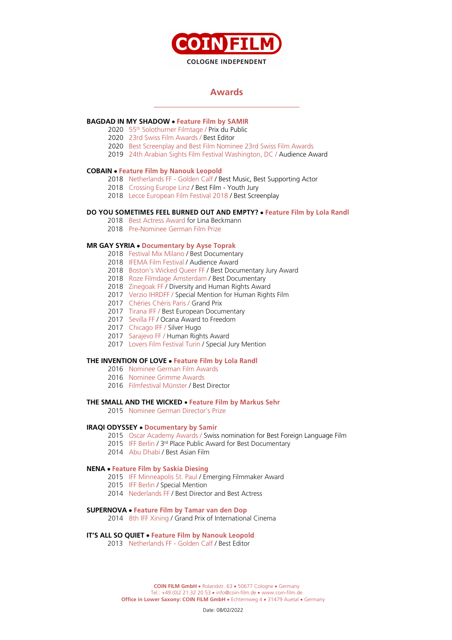

# **Awards** \_\_\_\_\_\_\_\_\_\_\_\_\_\_\_\_\_\_\_\_\_\_\_\_\_\_\_\_\_\_\_\_

# **BAGDAD IN MY SHADOW** • **Feature Film by SAMIR**

- 2020 55th Solothurner Filmtage / Prix du Public
- 2020 23rd Swiss Film Awards / Best Editor
- 2020 Best Screenplay and Best Film Nominee 23rd Swiss Film Awards
- 2019 24th Arabian Sights Film Festival Washington, DC / Audience Award

# **COBAIN** • **Feature Film by Nanouk Leopold**

- 2018 Netherlands FF Golden Calf / Best Music, Best Supporting Actor
- 2018 Crossing Europe Linz / Best Film Youth Jury
- 2018 Lecce European Film Festival 2018 / Best Screenplay

# **DO YOU SOMETIMES FEEL BURNED OUT AND EMPTY?** • **Feature Film by Lola Randl**

- 2018 Best Actress Award for Lina Beckmann
- 2018 Pre-Nominee German Film Prize

#### **MR GAY SYRIA** • **Documentary by Ayse Toprak**

- 2018 Festival Mix Milano / Best Documentary
- 2018 IFEMA Film Festival / Audience Award
- 2018 Boston's Wicked Queer FF / Best Documentary Jury Award
- 2018 Roze Filmdage Amsterdam / Best Documentary
- 2018 Zinegoak FF / Diversity and Human Rights Award
- 2017 Verzio IHRDFF / Special Mention for Human Rights Film
- 2017 Chéries Chéris Paris / Grand Prix
- 2017 Tirana IFF / Best European Documentary
- 2017 Sevilla FF / Ocana Award to Freedom
- 2017 Chicago IFF / Silver Hugo
- 2017 Sarajevo FF / Human Rights Award
- 2017 Lovers Film Festival Turin / Special Jury Mention

#### **THE INVENTION OF LOVE** • **Feature Film by Lola Randl**

- 2016 Nominee German Film Awards
- 2016 Nominee Grimme Awards
- 2016 Filmfestival Münster / Best Director

#### **THE SMALL AND THE WICKED** • **Feature Film by Markus Sehr**

2015 Nominee German Director's Prize

#### **IRAQI ODYSSEY** • **Documentary by Samir**

- 2015 Oscar Academy Awards / Swiss nomination for Best Foreign Language Film
- 2015 IFF Berlin / 3<sup>rd</sup> Place Public Award for Best Documentary
- 2014 Abu Dhabi / Best Asian Film

#### **NENA** • **Feature Film by Saskia Diesing**

- 2015 IFF Minneapolis St. Paul / Emerging Filmmaker Award
- 2015 IFF Berlin / Special Mention
- 2014 Nederlands FF / Best Director and Best Actress

#### **SUPERNOVA** • **Feature Film by Tamar van den Dop**

2014 8th IFF Xining / Grand Prix of International Cinema

#### **IT'S ALL SO QUIET** • **Feature Film by Nanouk Leopold**

2013 Netherlands FF - Golden Calf / Best Editor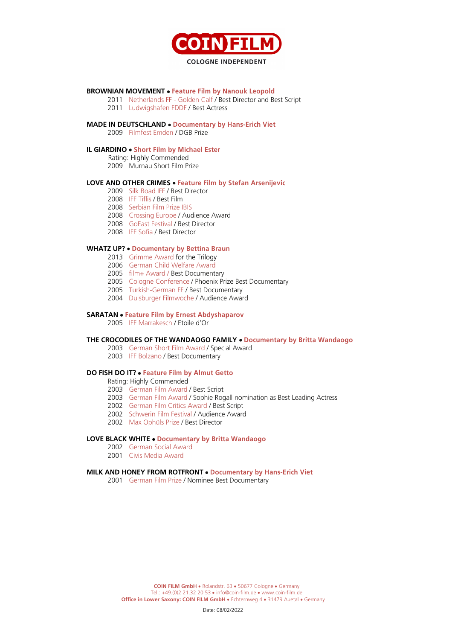

#### **BROWNIAN MOVEMENT** • **Feature Film by Nanouk Leopold**

- Netherlands FF Golden Calf / Best Director and Best Script
- Ludwigshafen FDDF / Best Actress

#### **MADE IN DEUTSCHLAND** • **Documentary by Hans-Erich Viet**

Filmfest Emden / DGB Prize

## **IL GIARDINO** • **Short Film by Michael Ester**

Rating: Highly Commended

Murnau Short Film Prize

#### **LOVE AND OTHER CRIMES** • **Feature Film by Stefan Arsenijevic**

- Silk Road IFF / Best Director
- IFF Tiflis / Best Film
- Serbian Film Prize IBIS
- Crossing Europe / Audience Award
- GoEast Festival / Best Director
- IFF Sofia / Best Director

#### **WHATZ UP?** • **Documentary by Bettina Braun**

- Grimme Award for the Trilogy
- German Child Welfare Award
- film+ Award / Best Documentary
- Cologne Conference / Phoenix Prize Best Documentary
- Turkish-German FF / Best Documentary
- Duisburger Filmwoche / Audience Award

#### **SARATAN** • **Feature Film by Ernest Abdyshaparov**

IFF Marrakesch / Etoile d'Or

#### **THE CROCODILES OF THE WANDAOGO FAMILY** • **Documentary by Britta Wandaogo**

- German Short Film Award / Special Award
- IFF Bolzano / Best Documentary

#### **DO FISH DO IT?** • **Feature Film by Almut Getto**

Rating: Highly Commended

- German Film Award / Best Script
- German Film Award / Sophie Rogall nomination as Best Leading Actress
- German Film Critics Award / Best Script
- Schwerin Film Festival / Audience Award
- 2002 Max Ophüls Prize / Best Director

#### **LOVE BLACK WHITE** • **Documentary by Britta Wandaogo**

- German Social Award
- Civis Media Award

#### **MILK AND HONEY FROM ROTFRONT** • **Documentary by Hans-Erich Viet**

German Film Prize / Nominee Best Documentary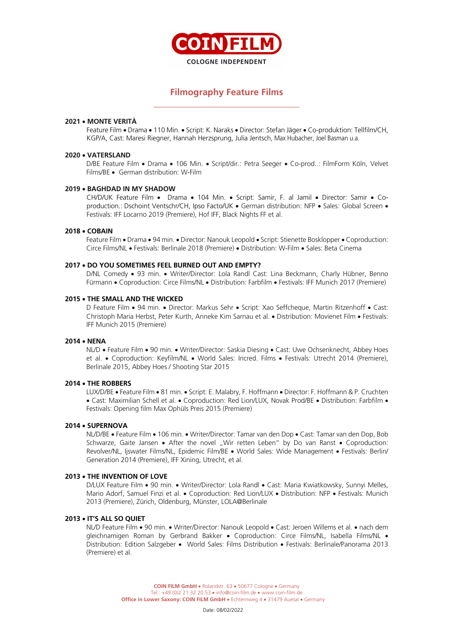

# **Filmography Feature Films** \_\_\_\_\_\_\_\_\_\_\_\_\_\_\_\_\_\_\_\_\_\_\_\_\_\_\_\_\_\_\_\_

#### **2021** • **MONTE VERITÀ**

Feature Film • Drama • 110 Min. • Script: K. Naraks • Director: Stefan Jäger • Co-produktion: Tellfilm/CH, KGP/A, Cast: Maresi Riegner, Hannah Herzsprung, Julia Jentsch, Max Hubacher, Joel Basman u.a.

## **2020** • **VATERSLAND**

D/BE Feature Film • Drama • 106 Min. • Script/dir.: Petra Seeger • Co-prod..: FilmForm Köln, Velvet Films/BE • German distribution: W-Film

#### **2019** • **BAGHDAD IN MY SHADOW**

CH/D/UK Feature Film • Drama • 104 Min. • Script: Samir, F. al Jamil • Director: Samir • Coproduction.: Dschoint Ventschr/CH, Ipso Facto/UK • German distribution: NFP • Sales: Global Screen • Festivals: IFF Locarno 2019 (Premiere), Hof IFF, Black Nights FF et al.

#### **2018** • **COBAIN**

Feature Film • Drama • 94 min. • Director: Nanouk Leopold • Script: Stienette Bosklopper • Coproduction: Circe Films/NL • Festivals: Berlinale 2018 (Premiere) • Distribution: W-Film • Sales: Beta Cinema

#### **2017** • **DO YOU SOMETIMES FEEL BURNED OUT AND EMPTY?**

D/NL Comedy • 93 min. • Writer/Director: Lola Randl Cast: Lina Beckmann, Charly Hübner, Benno Fürmann • Coproduction: Circe Films/NL • Distribution: Farbfilm • Festivals: IFF Munich 2017 (Premiere)

#### **2015** • **THE SMALL AND THE WICKED**

D Feature Film • 94 min. • Director: Markus Sehr • Script: Xao Seffcheque, Martin Ritzenhoff • Cast: Christoph Maria Herbst, Peter Kurth, Anneke Kim Sarnau et al. • Distribution: Movienet Film • Festivals: IFF Munich 2015 (Premiere)

#### **2014** • **NENA**

NL/D • Feature Film • 90 min. • Writer/Director: Saskia Diesing • Cast: Uwe Ochsenknecht, Abbey Hoes et al. • Coproduction: Keyfilm/NL • World Sales: Incred. Films • Festivals: Utrecht 2014 (Premiere), Berlinale 2015, Abbey Hoes / Shooting Star 2015

# **2014** • **THE ROBBERS**

LUX/D/BE • Feature Film • 81 min. • Script: E. Malabry, F. Hoffmann • Director: F. Hoffmann & P. Cruchten • Cast: Maximilian Schell et al. • Coproduction: Red Lion/LUX, Novak Prod/BE • Distribution: Farbfilm • Festivals: Opening film Max Ophüls Preis 2015 (Premiere)

#### **2014** • **SUPERNOVA**

NL/D/BE • Feature Film • 106 min. • Writer/Director: Tamar van den Dop • Cast: Tamar van den Dop, Bob Schwarze, Gaite Jansen • After the novel "Wir retten Leben" by Do van Ranst • Coproduction: Revolver/NL, Ijswater Films/NL, Epidemic Film/BE • World Sales: Wide Management • Festivals: Berlin/ Generation 2014 (Premiere), IFF Xining, Utrecht, et al.

#### **2013** • **THE INVENTION OF LOVE**

D/LUX Feature Film • 90 min. • Writer/Director: Lola Randl • Cast: Maria Kwiatkowsky, Sunnyi Melles, Mario Adorf, Samuel Finzi et al. • Coproduction: Red Lion/LUX • Distribution: NFP • Festivals: Munich 2013 (Premiere), Zürich, Oldenburg, Münster, LOLA@Berlinale

#### **2013** • **IT'S ALL SO QUIET**

NL/D Feature Film • 90 min. • Writer/Director: Nanouk Leopold • Cast: Jeroen Willems et al. • nach dem gleichnamigen Roman by Gerbrand Bakker • Coproduction: Circe Films/NL, Isabella Films/NL • Distribution: Edition Salzgeber • World Sales: Films Distribution • Festivals: Berlinale/Panorama 2013 (Premiere) et al.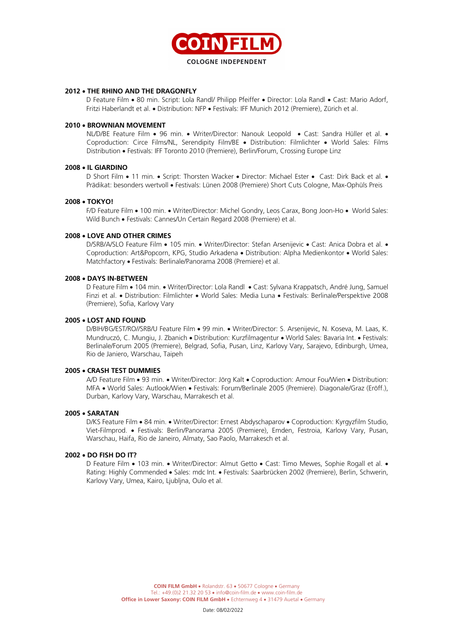

#### **2012** • **THE RHINO AND THE DRAGONFLY**

D Feature Film • 80 min. Script: Lola Randl/ Philipp Pfeiffer • Director: Lola Randl • Cast: Mario Adorf, Fritzi Haberlandt et al. • Distribution: NFP • Festivals: IFF Munich 2012 (Premiere), Zürich et al.

#### **2010** • **BROWNIAN MOVEMENT**

NL/D/BE Feature Film • 96 min. • Writer/Director: Nanouk Leopold • Cast: Sandra Hüller et al. • Coproduction: Circe Films/NL, Serendipity Film/BE • Distribution: Filmlichter • World Sales: Films Distribution • Festivals: IFF Toronto 2010 (Premiere), Berlin/Forum, Crossing Europe Linz

#### **2008** • **IL GIARDINO**

D Short Film • 11 min. • Script: Thorsten Wacker • Director: Michael Ester • Cast: Dirk Back et al. • Prädikat: besonders wertvoll • Festivals: Lünen 2008 (Premiere) Short Cuts Cologne, Max-Ophüls Preis

#### **2008** • **TOKYO!**

F/D Feature Film • 100 min. • Writer/Director: Michel Gondry, Leos Carax, Bong Joon-Ho • World Sales: Wild Bunch • Festivals: Cannes/Un Certain Regard 2008 (Premiere) et al.

#### **2008** • **LOVE AND OTHER CRIMES**

D/SRB/A/SLO Feature Film • 105 min. • Writer/Director: Stefan Arsenijevic • Cast: Anica Dobra et al. • Coproduction: Art&Popcorn, KPG, Studio Arkadena • Distribution: Alpha Medienkontor • World Sales: Matchfactory • Festivals: Berlinale/Panorama 2008 (Premiere) et al.

#### **2008** • **DAYS IN-BETWEEN**

D Feature Film • 104 min. • Writer/Director: Lola Randl • Cast: Sylvana Krappatsch, André Jung, Samuel Finzi et al. • Distribution: Filmlichter • World Sales: Media Luna • Festivals: Berlinale/Perspektive 2008 (Premiere), Sofia, Karlovy Vary

## **2005** • **LOST AND FOUND**

D/BIH/BG/EST/RO//SRB/U Feature Film • 99 min. • Writer/Director: S. Arsenijevic, N. Koseva, M. Laas, K. Mundruczó, C. Mungiu, J. Zbanich • Distribution: Kurzfilmagentur • World Sales: Bavaria Int. • Festivals: Berlinale/Forum 2005 (Premiere), Belgrad, Sofia, Pusan, Linz, Karlovy Vary, Sarajevo, Edinburgh, Umea, Rio de Janiero, Warschau, Taipeh

#### **2005** • **CRASH TEST DUMMIES**

A/D Feature Film • 93 min. • Writer/Director: Jörg Kalt • Coproduction: Amour Fou/Wien • Distribution: MFA • World Sales: Autlook/Wien • Festivals: Forum/Berlinale 2005 (Premiere). Diagonale/Graz (Eröff.), Durban, Karlovy Vary, Warschau, Marrakesch et al.

#### **2005** • **SARATAN**

D/KS Feature Film • 84 min. • Writer/Director: Ernest Abdyschaparov • Coproduction: Kyrgyzfilm Studio, Viet-Filmprod. • Festivals: Berlin/Panorama 2005 (Premiere), Emden, Festroia, Karlovy Vary, Pusan, Warschau, Haifa, Rio de Janeiro, Almaty, Sao Paolo, Marrakesch et al.

#### **2002** • **DO FISH DO IT?**

D Feature Film • 103 min. • Writer/Director: Almut Getto • Cast: Timo Mewes, Sophie Rogall et al. • Rating: Highly Commended • Sales: mdc Int. • Festivals: Saarbrücken 2002 (Premiere), Berlin, Schwerin, Karlovy Vary, Umea, Kairo, Ljubljna, Oulo et al.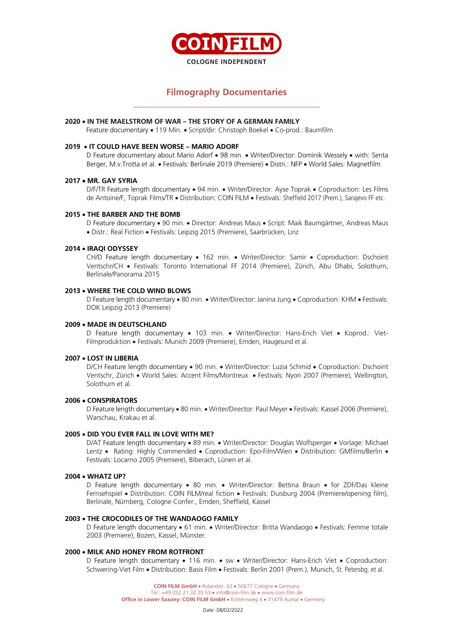

# **Filmography Documentaries** \_\_\_\_\_\_\_\_\_\_\_\_\_\_\_\_\_\_\_\_\_\_\_\_\_\_\_\_\_\_\_\_\_\_\_\_\_\_\_\_\_

#### **2020** • **IN THE MAELSTROM OF WAR – THE STORY OF A GERMAN FAMILY**

Feature documentary • 119 Min. • Script/dir: Christoph Boekel • Co-prod.: Baumfilm

#### **2019** • **IT COULD HAVE BEEN WORSE – MARIO ADORF**

D Feature documentary about Mario Adorf • 98 min. • Writer/Director: Dominik Wessely • with: Senta Berger, M.v.Trotta et al. • Festivals: Berlinale 2019 (Premiere) • Distri.: NFP • World Sales: Magnetfilm

#### **2017** • **MR. GAY SYRIA**

D/F/TR Feature length documentary • 94 min. • Writer/Director: Ayse Toprak • Coproduction: Les Films de Antoine/F, Toprak Films/TR • Distribution: COIN FILM • Festivals: Sheffield 2017 (Prem.), Sarajevo FF etc.

#### **2015** • **THE BARBER AND THE BOMB**

D Feature documentary • 90 min. • Director: Andreas Maus • Script: Maik Baumgärtner, Andreas Maus • Distr.: Real Fiction • Festivals: Leipzig 2015 (Premiere), Saarbrücken, Linz

#### **2014** • **IRAQI ODYSSEY**

CH/D Feature length documentary • 162 min. • Writer/Director: Samir • Coproduction: Dschoint Ventschr/CH • Festivals: Toronto International FF 2014 (Premiere), Zürich, Abu Dhabi, Solothurn, Berlinale/Panorama 2015

#### **2013** • **WHERE THE COLD WIND BLOWS**

D Feature length documentary • 80 min. • Writer/Director: Janina Jung • Coproduction: KHM • Festivals: DOK Leipzig 2013 (Premiere)

#### **2009** • **MADE IN DEUTSCHLAND**

D Feature length documentary • 103 min. • Writer/Director: Hans-Erich Viet • Koprod.: Viet-Filmproduktion • Festivals: Munich 2009 (Premiere), Emden, Haugesund et al.

#### **2007** • **LOST IN LIBERIA**

D/CH Feature length documentary • 90 min. • Writer/Director: Luzia Schmid • Coproduction: Dschoint Ventschr, Zürich • World Sales: Accent Films/Montreux • Festivals: Nyon 2007 (Premiere), Wellington, Solothurn et al.

#### **2006** • **CONSPIRATORS**

D Feature length documentary • 80 min. • Writer/Director: Paul Meyer • Festivals: Kassel 2006 (Premiere), Warschau, Krakau et al.

#### **2005** • **DID YOU EVER FALL IN LOVE WITH ME?**

D/AT Feature length documentary • 89 min. • Writer/Director: Douglas Wolfsperger • Vorlage: Michael Lentz • Rating: Highly Commended • Coproduction: Epo-Film/Wien • Distribution: GMfilms/Berlin • Festivals: Locarno 2005 (Premiere), Biberach, Lünen et al.

#### **2004** • **WHATZ UP?**

D Feature length documentary • 80 min. • Writer/Director: Bettina Braun • for ZDF/Das kleine Fernsehspiel • Distribution: COIN FILM/real fiction • Festivals: Duisburg 2004 (Premiere/opening film), Berlinale, Nürnberg, Cologne Confer., Emden, Sheffield, Kassel

#### **2003** • **THE CROCODILES OF THE WANDAOGO FAMILY**

D Feature length documentary • 61 min. • Writer/Director: Britta Wandaogo • Festivals: Femme totale 2003 (Premiere), Bozen, Kassel, Münster.

# **2000** • **MILK AND HONEY FROM ROTFRONT**

D Feature length documentary • 116 min. • sw • Writer/Director: Hans-Erich Viet • Coproduction: Schwering-Viet Film • Distribution: Basis Film • Festivals: Berlin 2001 (Prem.), Munich, St. Petersbg. et al.